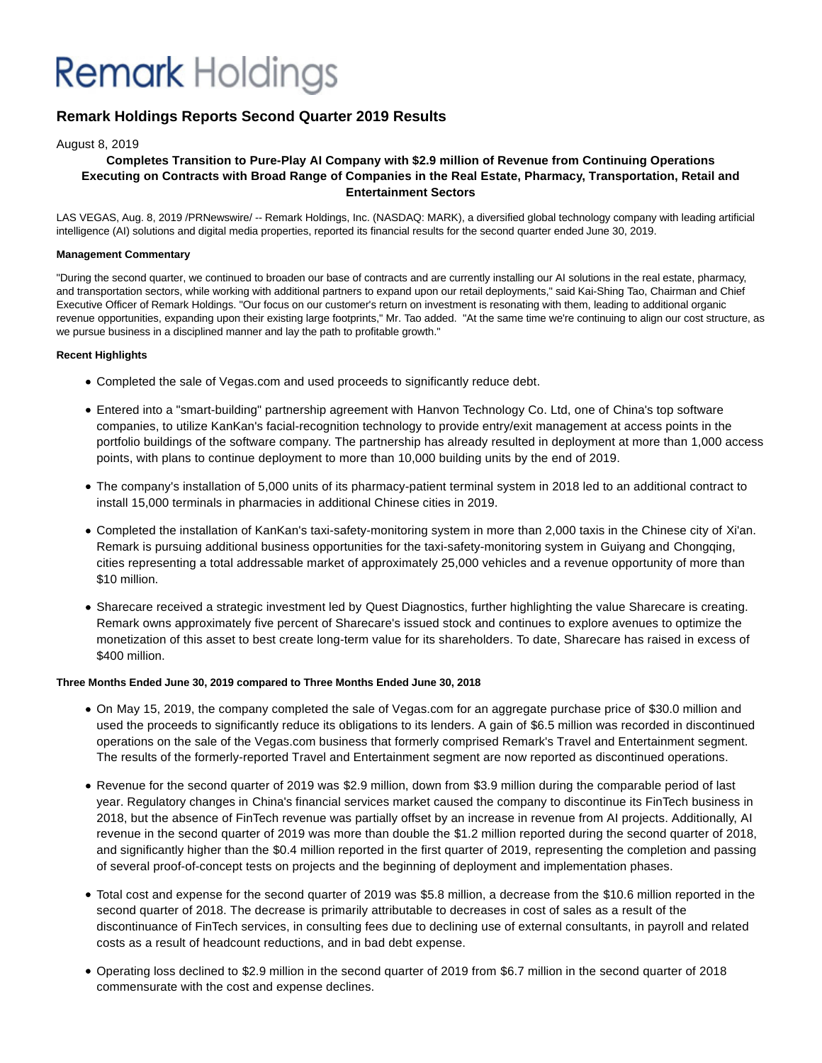## **Remark** Holdings

### **Remark Holdings Reports Second Quarter 2019 Results**

August 8, 2019

#### **Completes Transition to Pure-Play AI Company with \$2.9 million of Revenue from Continuing Operations Executing on Contracts with Broad Range of Companies in the Real Estate, Pharmacy, Transportation, Retail and Entertainment Sectors**

LAS VEGAS, Aug. 8, 2019 /PRNewswire/ -- Remark Holdings, Inc. (NASDAQ: MARK), a diversified global technology company with leading artificial intelligence (AI) solutions and digital media properties, reported its financial results for the second quarter ended June 30, 2019.

#### **Management Commentary**

"During the second quarter, we continued to broaden our base of contracts and are currently installing our AI solutions in the real estate, pharmacy, and transportation sectors, while working with additional partners to expand upon our retail deployments," said Kai-Shing Tao, Chairman and Chief Executive Officer of Remark Holdings. "Our focus on our customer's return on investment is resonating with them, leading to additional organic revenue opportunities, expanding upon their existing large footprints," Mr. Tao added. "At the same time we're continuing to align our cost structure, as we pursue business in a disciplined manner and lay the path to profitable growth."

#### **Recent Highlights**

- Completed the sale of Vegas.com and used proceeds to significantly reduce debt.
- Entered into a "smart-building" partnership agreement with Hanvon Technology Co. Ltd, one of China's top software companies, to utilize KanKan's facial-recognition technology to provide entry/exit management at access points in the portfolio buildings of the software company. The partnership has already resulted in deployment at more than 1,000 access points, with plans to continue deployment to more than 10,000 building units by the end of 2019.
- The company's installation of 5,000 units of its pharmacy-patient terminal system in 2018 led to an additional contract to install 15,000 terminals in pharmacies in additional Chinese cities in 2019.
- Completed the installation of KanKan's taxi-safety-monitoring system in more than 2,000 taxis in the Chinese city of Xi'an. Remark is pursuing additional business opportunities for the taxi-safety-monitoring system in Guiyang and Chongqing, cities representing a total addressable market of approximately 25,000 vehicles and a revenue opportunity of more than \$10 million.
- Sharecare received a strategic investment led by Quest Diagnostics, further highlighting the value Sharecare is creating. Remark owns approximately five percent of Sharecare's issued stock and continues to explore avenues to optimize the monetization of this asset to best create long-term value for its shareholders. To date, Sharecare has raised in excess of \$400 million.

#### **Three Months Ended June 30, 2019 compared to Three Months Ended June 30, 2018**

- On May 15, 2019, the company completed the sale of Vegas.com for an aggregate purchase price of \$30.0 million and used the proceeds to significantly reduce its obligations to its lenders. A gain of \$6.5 million was recorded in discontinued operations on the sale of the Vegas.com business that formerly comprised Remark's Travel and Entertainment segment. The results of the formerly-reported Travel and Entertainment segment are now reported as discontinued operations.
- Revenue for the second quarter of 2019 was \$2.9 million, down from \$3.9 million during the comparable period of last year. Regulatory changes in China's financial services market caused the company to discontinue its FinTech business in 2018, but the absence of FinTech revenue was partially offset by an increase in revenue from AI projects. Additionally, AI revenue in the second quarter of 2019 was more than double the \$1.2 million reported during the second quarter of 2018, and significantly higher than the \$0.4 million reported in the first quarter of 2019, representing the completion and passing of several proof-of-concept tests on projects and the beginning of deployment and implementation phases.
- Total cost and expense for the second quarter of 2019 was \$5.8 million, a decrease from the \$10.6 million reported in the second quarter of 2018. The decrease is primarily attributable to decreases in cost of sales as a result of the discontinuance of FinTech services, in consulting fees due to declining use of external consultants, in payroll and related costs as a result of headcount reductions, and in bad debt expense.
- Operating loss declined to \$2.9 million in the second quarter of 2019 from \$6.7 million in the second quarter of 2018 commensurate with the cost and expense declines.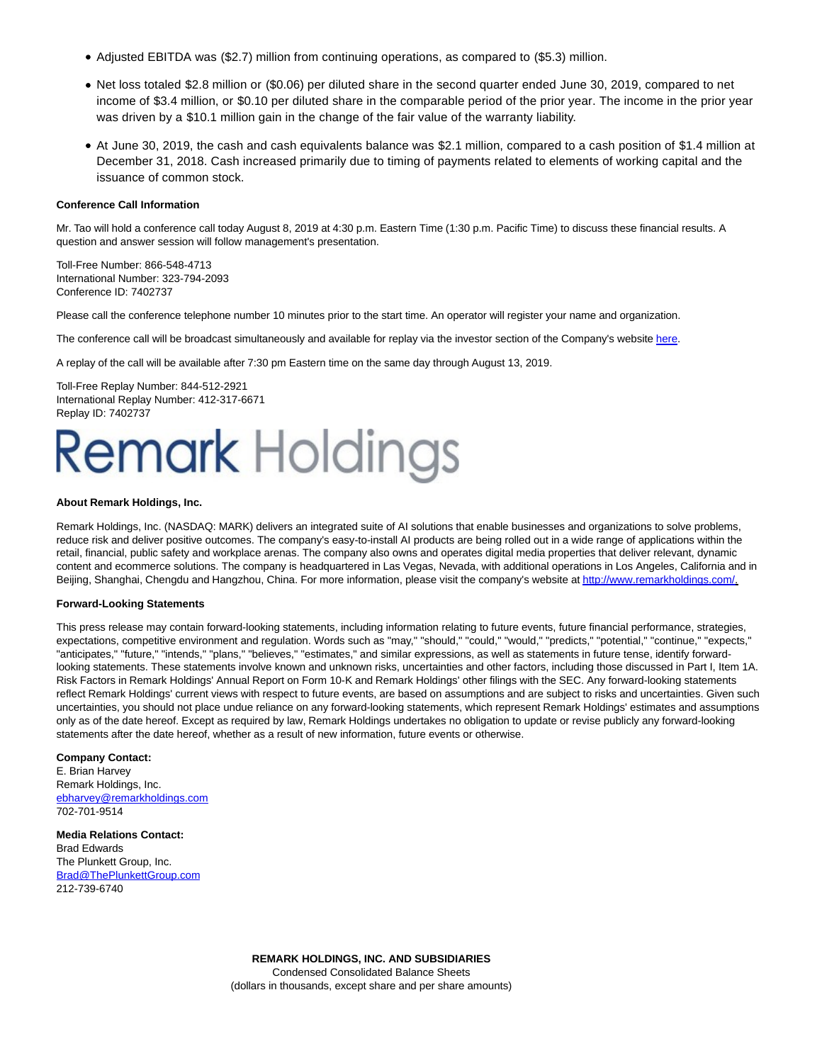- Adjusted EBITDA was (\$2.7) million from continuing operations, as compared to (\$5.3) million.
- Net loss totaled \$2.8 million or (\$0.06) per diluted share in the second quarter ended June 30, 2019, compared to net income of \$3.4 million, or \$0.10 per diluted share in the comparable period of the prior year. The income in the prior year was driven by a \$10.1 million gain in the change of the fair value of the warranty liability.
- At June 30, 2019, the cash and cash equivalents balance was \$2.1 million, compared to a cash position of \$1.4 million at December 31, 2018. Cash increased primarily due to timing of payments related to elements of working capital and the issuance of common stock.

#### **Conference Call Information**

Mr. Tao will hold a conference call today August 8, 2019 at 4:30 p.m. Eastern Time (1:30 p.m. Pacific Time) to discuss these financial results. A question and answer session will follow management's presentation.

Toll-Free Number: 866-548-4713 International Number: 323-794-2093 Conference ID: 7402737

Please call the conference telephone number 10 minutes prior to the start time. An operator will register your name and organization.

The conference call will be broadcast simultaneously and available for replay via the investor section of the Company's website [here.](https://c212.net/c/link/?t=0&l=en&o=2547647-1&h=1774681458&u=http%3A%2F%2Fpublic.viavid.com%2Fplayer%2Findex.php%3Fid%3D135594&a=here)

A replay of the call will be available after 7:30 pm Eastern time on the same day through August 13, 2019.

Toll-Free Replay Number: 844-512-2921 International Replay Number: 412-317-6671 Replay ID: 7402737

# **Remark Holdings**

#### **About Remark Holdings, Inc.**

Remark Holdings, Inc. (NASDAQ: MARK) delivers an integrated suite of AI solutions that enable businesses and organizations to solve problems, reduce risk and deliver positive outcomes. The company's easy-to-install AI products are being rolled out in a wide range of applications within the retail, financial, public safety and workplace arenas. The company also owns and operates digital media properties that deliver relevant, dynamic content and ecommerce solutions. The company is headquartered in Las Vegas, Nevada, with additional operations in Los Angeles, California and in Beijing, Shanghai, Chengdu and Hangzhou, China. For more information, please visit the company's website a[t http://www.remarkholdings.com/.](https://c212.net/c/link/?t=0&l=en&o=2547647-1&h=3453535665&u=http%3A%2F%2Fwww.remarkholdings.com%2F&a=http%3A%2F%2Fwww.remarkholdings.com%2F)

#### **Forward-Looking Statements**

This press release may contain forward-looking statements, including information relating to future events, future financial performance, strategies, expectations, competitive environment and regulation. Words such as "may," "should," "could," "would," "predicts," "potential," "continue," "expects," "anticipates," "future," "intends," "plans," "believes," "estimates," and similar expressions, as well as statements in future tense, identify forwardlooking statements. These statements involve known and unknown risks, uncertainties and other factors, including those discussed in Part I, Item 1A. Risk Factors in Remark Holdings' Annual Report on Form 10-K and Remark Holdings' other filings with the SEC. Any forward-looking statements reflect Remark Holdings' current views with respect to future events, are based on assumptions and are subject to risks and uncertainties. Given such uncertainties, you should not place undue reliance on any forward-looking statements, which represent Remark Holdings' estimates and assumptions only as of the date hereof. Except as required by law, Remark Holdings undertakes no obligation to update or revise publicly any forward-looking statements after the date hereof, whether as a result of new information, future events or otherwise.

**Company Contact:** E. Brian Harvey Remark Holdings, Inc. [ebharvey@remarkholdings.com](mailto:ebharvey@remarkholdings.com) 702-701-9514

#### **Media Relations Contact:** Brad Edwards The Plunkett Group, Inc. [Brad@ThePlunkettGroup.com](mailto:Brad@ThePlunkettGroup.com) 212-739-6740

**REMARK HOLDINGS, INC. AND SUBSIDIARIES** Condensed Consolidated Balance Sheets (dollars in thousands, except share and per share amounts)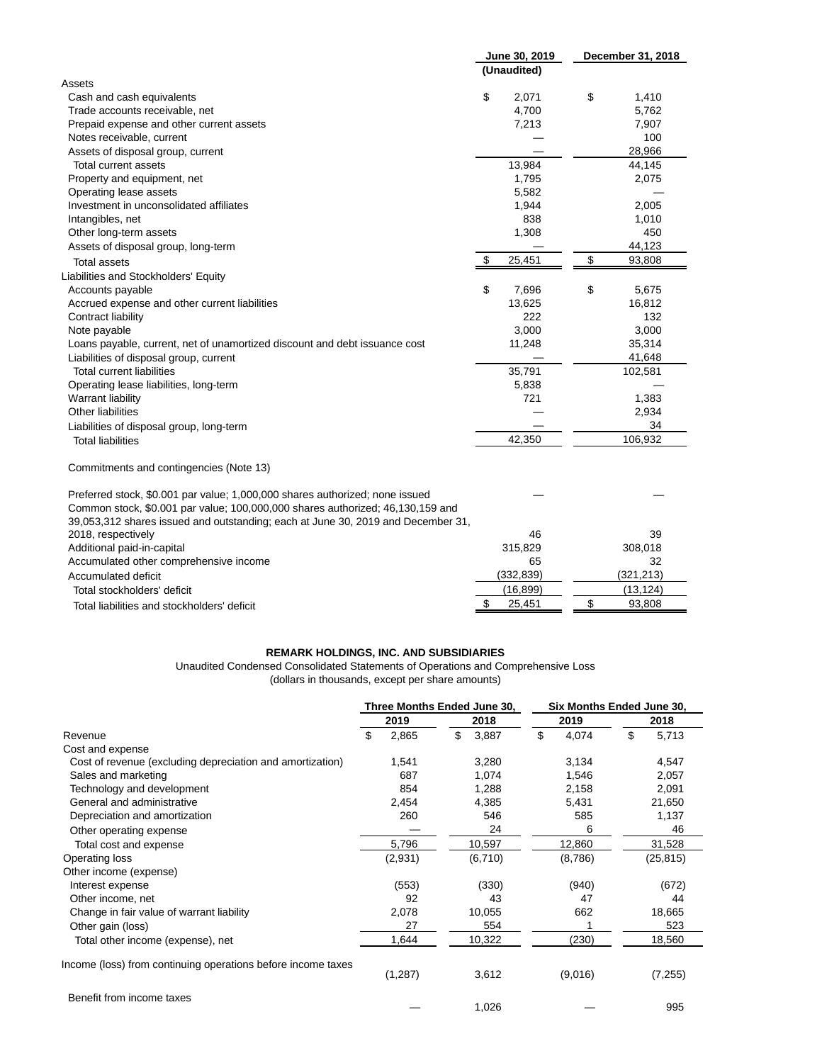|                                                                                  |             | June 30, 2019 | December 31, 2018 |            |  |
|----------------------------------------------------------------------------------|-------------|---------------|-------------------|------------|--|
|                                                                                  | (Unaudited) |               |                   |            |  |
| Assets                                                                           |             |               |                   |            |  |
| Cash and cash equivalents                                                        | \$          | 2,071         | \$                | 1,410      |  |
| Trade accounts receivable, net                                                   |             | 4,700         |                   | 5,762      |  |
| Prepaid expense and other current assets                                         |             | 7,213         |                   | 7,907      |  |
| Notes receivable, current                                                        |             |               |                   | 100        |  |
| Assets of disposal group, current                                                |             |               |                   | 28,966     |  |
| <b>Total current assets</b>                                                      |             | 13,984        |                   | 44,145     |  |
| Property and equipment, net                                                      |             | 1,795         |                   | 2,075      |  |
| Operating lease assets                                                           |             | 5,582         |                   |            |  |
| Investment in unconsolidated affiliates                                          |             | 1,944         |                   | 2,005      |  |
| Intangibles, net                                                                 |             | 838           |                   | 1,010      |  |
| Other long-term assets                                                           |             | 1,308         |                   | 450        |  |
| Assets of disposal group, long-term                                              |             |               |                   | 44,123     |  |
| <b>Total assets</b>                                                              | \$          | 25,451        | \$                | 93,808     |  |
| Liabilities and Stockholders' Equity                                             |             |               |                   |            |  |
| Accounts payable                                                                 | \$          | 7,696         | \$                | 5,675      |  |
| Accrued expense and other current liabilities                                    |             | 13,625        |                   | 16,812     |  |
| Contract liability                                                               |             | 222           |                   | 132        |  |
| Note payable                                                                     |             | 3,000         |                   | 3,000      |  |
| Loans payable, current, net of unamortized discount and debt issuance cost       |             | 11,248        |                   | 35,314     |  |
| Liabilities of disposal group, current                                           |             |               |                   | 41,648     |  |
| <b>Total current liabilities</b>                                                 |             | 35,791        |                   | 102,581    |  |
| Operating lease liabilities, long-term                                           |             | 5,838         |                   |            |  |
| Warrant liability                                                                |             | 721           |                   | 1,383      |  |
| Other liabilities                                                                |             |               |                   | 2,934      |  |
| Liabilities of disposal group, long-term                                         |             |               |                   | 34         |  |
| <b>Total liabilities</b>                                                         |             | 42,350        |                   | 106,932    |  |
| Commitments and contingencies (Note 13)                                          |             |               |                   |            |  |
| Preferred stock, \$0.001 par value; 1,000,000 shares authorized; none issued     |             |               |                   |            |  |
| Common stock, \$0.001 par value; 100,000,000 shares authorized; 46,130,159 and   |             |               |                   |            |  |
| 39,053,312 shares issued and outstanding; each at June 30, 2019 and December 31, |             |               |                   |            |  |
| 2018, respectively                                                               |             | 46            |                   | 39         |  |
| Additional paid-in-capital                                                       |             | 315,829       |                   | 308,018    |  |
| Accumulated other comprehensive income                                           |             | 65            |                   | 32         |  |
| Accumulated deficit                                                              |             | (332, 839)    |                   | (321, 213) |  |
| Total stockholders' deficit                                                      |             | (16, 899)     |                   | (13, 124)  |  |
| Total liabilities and stockholders' deficit                                      | \$          | 25,451        | \$                | 93,808     |  |
|                                                                                  |             |               |                   |            |  |

#### **REMARK HOLDINGS, INC. AND SUBSIDIARIES**

Unaudited Condensed Consolidated Statements of Operations and Comprehensive Loss (dollars in thousands, except per share amounts)

|                                                              | Three Months Ended June 30, |          | Six Months Ended June 30, |    |         |    |           |
|--------------------------------------------------------------|-----------------------------|----------|---------------------------|----|---------|----|-----------|
|                                                              |                             | 2019     | 2018                      |    | 2019    |    | 2018      |
| Revenue                                                      | \$                          | 2,865    | \$<br>3,887               | \$ | 4,074   | \$ | 5,713     |
| Cost and expense                                             |                             |          |                           |    |         |    |           |
| Cost of revenue (excluding depreciation and amortization)    |                             | 1,541    | 3,280                     |    | 3,134   |    | 4,547     |
| Sales and marketing                                          |                             | 687      | 1,074                     |    | 1,546   |    | 2,057     |
| Technology and development                                   |                             | 854      | 1,288                     |    | 2,158   |    | 2,091     |
| General and administrative                                   |                             | 2,454    | 4,385                     |    | 5,431   |    | 21,650    |
| Depreciation and amortization                                |                             | 260      | 546                       |    | 585     |    | 1,137     |
| Other operating expense                                      |                             |          | 24                        |    | 6       |    | 46        |
| Total cost and expense                                       |                             | 5,796    | 10,597                    |    | 12,860  |    | 31,528    |
| <b>Operating loss</b>                                        |                             | (2,931)  | (6,710)                   |    | (8,786) |    | (25, 815) |
| Other income (expense)                                       |                             |          |                           |    |         |    |           |
| Interest expense                                             |                             | (553)    | (330)                     |    | (940)   |    | (672)     |
| Other income, net                                            |                             | 92       | 43                        |    | 47      |    | 44        |
| Change in fair value of warrant liability                    |                             | 2,078    | 10,055                    |    | 662     |    | 18,665    |
| Other gain (loss)                                            |                             | 27       | 554                       |    |         |    | 523       |
| Total other income (expense), net                            |                             | 1,644    | 10,322                    |    | (230)   |    | 18,560    |
| Income (loss) from continuing operations before income taxes |                             |          |                           |    |         |    |           |
|                                                              |                             | (1, 287) | 3,612                     |    | (9,016) |    | (7, 255)  |
| Benefit from income taxes                                    |                             |          |                           |    |         |    |           |
|                                                              |                             |          | 1,026                     |    |         |    | 995       |